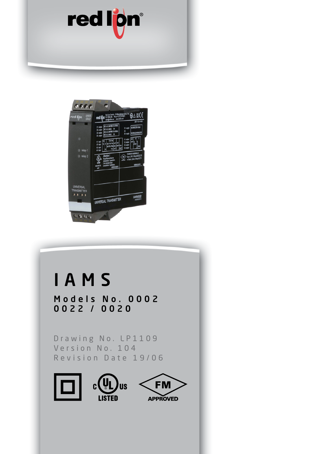



# IAMS

Models No. 0002 0022 / 0020

Drawing No. LP1109 Version No. 104 Revision Date 19/06

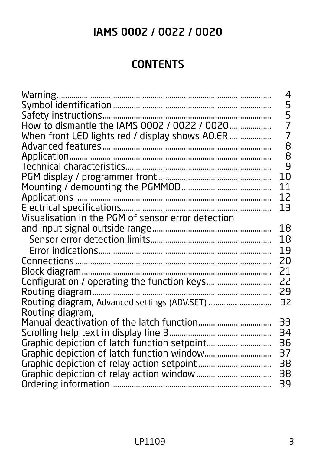# IAMS 0002 / 0022 / 0020

# **CONTENTS**

| When front LED lights red / display shows AO.ER    | 4<br>5<br>$\frac{5}{7}$<br>$\overline{7}$<br>8<br>8 |
|----------------------------------------------------|-----------------------------------------------------|
|                                                    | 9                                                   |
|                                                    | 10<br>11                                            |
|                                                    | 12                                                  |
|                                                    | 13                                                  |
| Visualisation in the PGM of sensor error detection |                                                     |
|                                                    | 18                                                  |
|                                                    | 18                                                  |
|                                                    | 19                                                  |
|                                                    | 20                                                  |
|                                                    | 21                                                  |
|                                                    | 22                                                  |
|                                                    | 29                                                  |
| Routing diagram, Advanced settings (ADV.SET)       | 32                                                  |
| Routing diagram,                                   |                                                     |
|                                                    | 33                                                  |
|                                                    | 34<br>36                                            |
|                                                    | 37                                                  |
|                                                    | 38                                                  |
|                                                    | 38                                                  |
|                                                    | 39                                                  |
|                                                    |                                                     |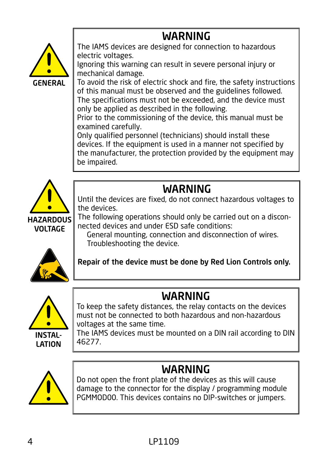# WARNING

<span id="page-3-0"></span>

The IAMS devices are designed for connection to hazardous electric voltages.

Ignoring this warning can result in severe personal injury or mechanical damage.

To avoid the risk of electric shock and fire, the safety instructions of this manual must be observed and the guidelines followed. The specifications must not be exceeded, and the device must only be applied as described in the following.

Prior to the commissioning of the device, this manual must be examined carefully.

Only qualified personnel (technicians) should install these devices. If the equipment is used in a manner not specified by the manufacturer, the protection provided by the equipment may be impaired.



# **WARNING**

Until the devices are fixed, do not connect hazardous voltages to the devices.

The following operations should only be carried out on a disconnected devices and under ESD safe conditions:

 General mounting, connection and disconnection of wires. Troubleshooting the device.



Repair of the device must be done by Red Lion Controls only.



# WARNING

To keep the safety distances, the relay contacts on the devices must not be connected to both hazardous and non-hazardous voltages at the same time.

The IAMS devices must be mounted on a DIN rail according to DIN 46277.



# **WARNING**

Do not open the front plate of the devices as this will cause damage to the connector for the display / programming module PGMMOD00. This devices contains no DIP-switches or jumpers.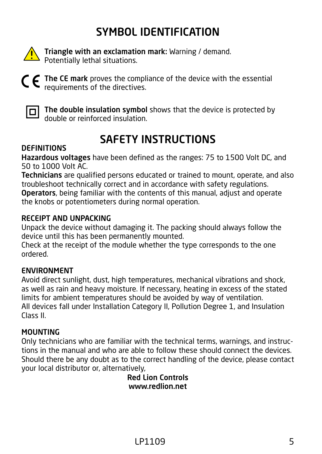# SYMBOL IDENTIFICATION

<span id="page-4-0"></span>

Triangle with an exclamation mark: Warning / demand. Potentially lethal situations.



The CE mark proves the compliance of the device with the essential requirements of the directives.



 $\boxed{\Box}$  The double insulation symbol shows that the device is protected by double or reinforced insulation.

# SAFETY INSTRUCTIONS

#### **DEFINITIONS**

Hazardous voltages have been defined as the ranges: 75 to 1500 Volt DC, and 50 to 1000 Volt AC.

Technicians are qualified persons educated or trained to mount, operate, and also troubleshoot technically correct and in accordance with safety regulations.

Operators, being familiar with the contents of this manual, adjust and operate the knobs or potentiometers during normal operation.

#### RECEIPT AND UNPACKING

Unpack the device without damaging it. The packing should always follow the device until this has been permanently mounted.

Check at the receipt of the module whether the type corresponds to the one ordered.

#### ENVIRONMENT

Avoid direct sunlight, dust, high temperatures, mechanical vibrations and shock, as well as rain and heavy moisture. If necessary, heating in excess of the stated limits for ambient temperatures should be avoided by way of ventilation. All devices fall under Installation Category II, Pollution Degree 1, and Insulation Class II.

#### **MOUNTING**

Only technicians who are familiar with the technical terms, warnings, and instructions in the manual and who are able to follow these should connect the devices. Should there be any doubt as to the correct handling of the device, please contact your local distributor or, alternatively,

Red Lion Controls www.redlion.net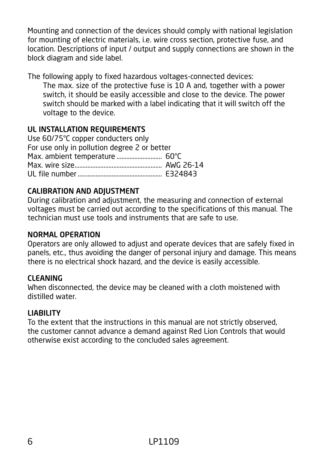Mounting and connection of the devices should comply with national legislation for mounting of electric materials, i.e. wire cross section, protective fuse, and location. Descriptions of input / output and supply connections are shown in the block diagram and side label.

The following apply to fixed hazardous voltages-connected devices:

The max. size of the protective fuse is 10 A and, together with a power switch, it should be easily accessible and close to the device. The power switch should be marked with a label indicating that it will switch off the voltage to the device.

#### UL INSTALLATION REQUIREMENTS

| Use 60/75°C copper conducters only           |  |
|----------------------------------------------|--|
| For use only in pollution degree 2 or better |  |
| Max. ambient temperature  60°C               |  |
|                                              |  |
|                                              |  |

#### CALIBRATION AND ADJUSTMENT

During calibration and adjustment, the measuring and connection of external voltages must be carried out according to the specifications of this manual. The technician must use tools and instruments that are safe to use.

#### NORMAL OPERATION

Operators are only allowed to adjust and operate devices that are safely fixed in panels, etc., thus avoiding the danger of personal injury and damage. This means there is no electrical shock hazard, and the device is easily accessible.

#### CLEANING

When disconnected, the device may be cleaned with a cloth moistened with distilled water.

#### LIABILITY

To the extent that the instructions in this manual are not strictly observed, the customer cannot advance a demand against Red Lion Controls that would otherwise exist according to the concluded sales agreement.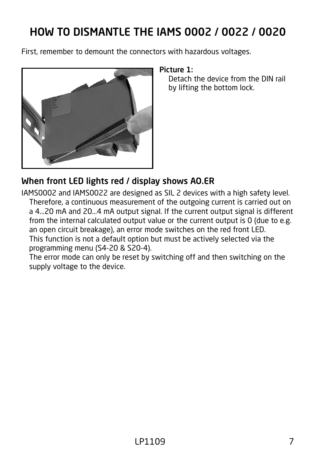# <span id="page-6-0"></span>HOW TO DISMANTLE THE IAMS 0002 / 0022 / 0020

First, remember to demount the connectors with hazardous voltages.



#### Picture 1:

Detach the device from the DIN rail by lifting the bottom lock.

### When front LED lights red / display shows AO.ER

IAMS0002 and IAMS0022 are designed as SIL 2 devices with a high safety level. Therefore, a continuous measurement of the outgoing current is carried out on a 4...20 mA and 20...4 mA output signal. If the current output signal is different from the internal calculated output value or the current output is 0 (due to e.g. an open circuit breakage), an error mode switches on the red front LED. This function is not a default option but must be actively selected via the programming menu (S4-20 & S20-4).

The error mode can only be reset by switching off and then switching on the supply voltage to the device.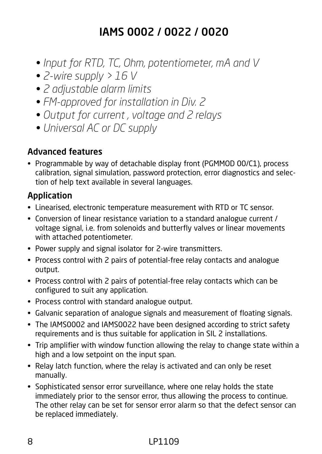# IAMS 0002 / 0022 / 0020

- <span id="page-7-0"></span>*• Input for RTD, TC, Ohm, potentiometer, mA and V*
- *2-wire supply > 16 V*
- *2 adjustable alarm limits*
- *FM-approved for installation in Div. 2*
- *Output for current , voltage and 2 relays*
- *Universal AC or DC supply*

#### Advanced features

• Programmable by way of detachable display front (PGMMOD 00/C1), process calibration, signal simulation, password protection, error diagnostics and selection of help text available in several languages.

### Application

- Linearised, electronic temperature measurement with RTD or TC sensor.
- Conversion of linear resistance variation to a standard analogue current / voltage signal, i.e. from solenoids and butterfly valves or linear movements with attached potentiometer.
- Power supply and signal isolator for 2-wire transmitters.
- Process control with 2 pairs of potential-free relay contacts and analogue output.
- Process control with 2 pairs of potential-free relay contacts which can be configured to suit any application.
- Process control with standard analogue output.
- Galvanic separation of analogue signals and measurement of floating signals.
- The IAMS0002 and IAMS0022 have been designed according to strict safety requirements and is thus suitable for application in SIL 2 installations.
- Trip amplifier with window function allowing the relay to change state within a high and a low setpoint on the input span.
- Relay latch function, where the relay is activated and can only be reset manually.
- Sophisticated sensor error surveillance, where one relay holds the state immediately prior to the sensor error, thus allowing the process to continue. The other relay can be set for sensor error alarm so that the defect sensor can be replaced immediately.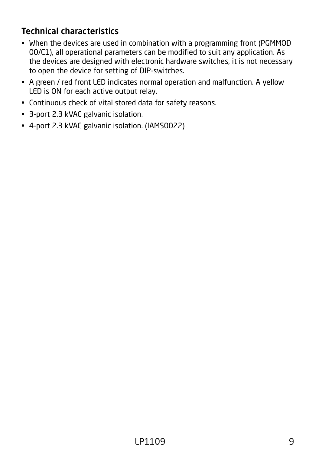# <span id="page-8-0"></span>Technical characteristics

- When the devices are used in combination with a programming front (PGMMOD 00/C1), all operational parameters can be modified to suit any application. As the devices are designed with electronic hardware switches, it is not necessary to open the device for setting of DIP-switches.
- A green / red front LED indicates normal operation and malfunction. A yellow LED is ON for each active output relay.
- Continuous check of vital stored data for safety reasons.
- 3-port 2.3 kVAC galvanic isolation.
- 4-port 2.3 kVAC galvanic isolation. (IAMS0022)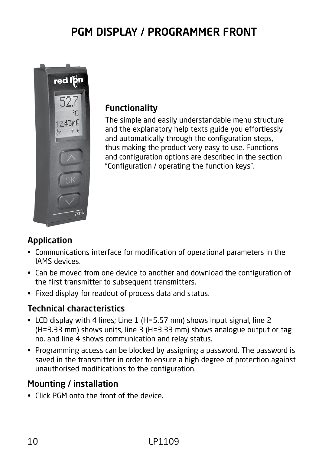# PGM DISPLAY / PROGRAMMER FRONT

<span id="page-9-0"></span>

#### Functionality

The simple and easily understandable menu structure and the explanatory help texts guide you effortlessly and automatically through the configuration steps, thus making the product very easy to use. Functions and configuration options are described in the section "Configuration / operating the function keys".

### Application

- Communications interface for modification of operational parameters in the IAMS devices.
- Can be moved from one device to another and download the configuration of the first transmitter to subsequent transmitters.
- Fixed display for readout of process data and status.

### Technical characteristics

- LCD display with 4 lines; Line 1 (H=5.57 mm) shows input signal, line 2 (H=3.33 mm) shows units, line 3 (H=3.33 mm) shows analogue output or tag no. and line 4 shows communication and relay status.
- Programming access can be blocked by assigning a password. The password is saved in the transmitter in order to ensure a high degree of protection against unauthorised modifications to the configuration.

### Mounting / installation

• Click PGM onto the front of the device.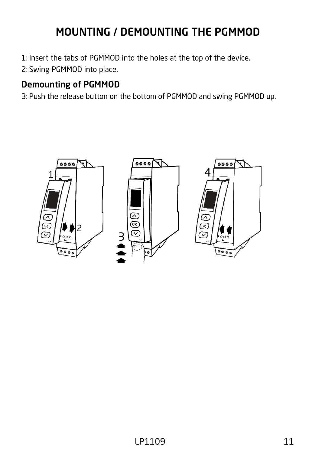# MOUNTING / DEMOUNTING THE PGMMOD

<span id="page-10-0"></span>1: Insert the tabs of PGMMOD into the holes at the top of the device.

2: Swing PGMMOD into place.

# Demounting of PGMMOD

3: Push the release button on the bottom of PGMMOD and swing PGMMOD up.

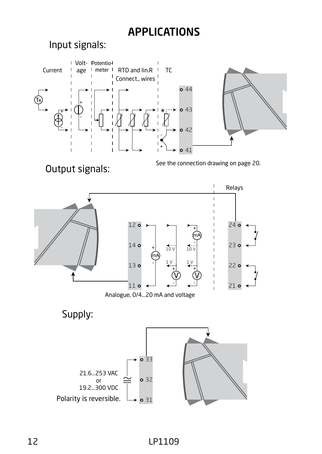# APPLICATIONS





Analogue, 0/4...20 mA and voltage

Supply:

<span id="page-11-0"></span>Input signals:

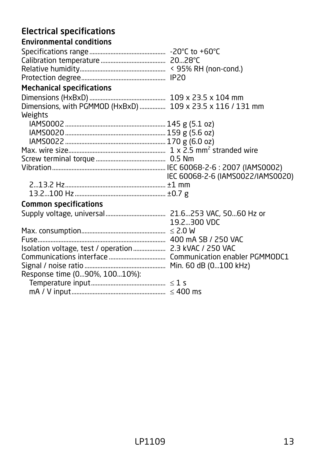# <span id="page-12-0"></span>Electrical specifications

| <b>Environmental conditions</b>                            |                                   |
|------------------------------------------------------------|-----------------------------------|
|                                                            |                                   |
|                                                            |                                   |
|                                                            |                                   |
|                                                            |                                   |
| <b>Mechanical specifications</b>                           |                                   |
|                                                            |                                   |
| Dimensions, with PGMMOD (HxBxD)  109 x 23.5 x 116 / 131 mm |                                   |
| Weights                                                    |                                   |
|                                                            |                                   |
|                                                            |                                   |
|                                                            |                                   |
|                                                            |                                   |
|                                                            |                                   |
|                                                            |                                   |
|                                                            | IEC 60068-2-6 (IAMS0022/IAMS0020) |
|                                                            |                                   |
|                                                            |                                   |
| <b>Common specifications</b>                               |                                   |
|                                                            |                                   |
|                                                            | 19.2300 VDC                       |
|                                                            |                                   |
|                                                            |                                   |
|                                                            |                                   |
|                                                            |                                   |
|                                                            |                                   |
| Response time (090%, 10010%):                              |                                   |
|                                                            |                                   |
|                                                            |                                   |
|                                                            |                                   |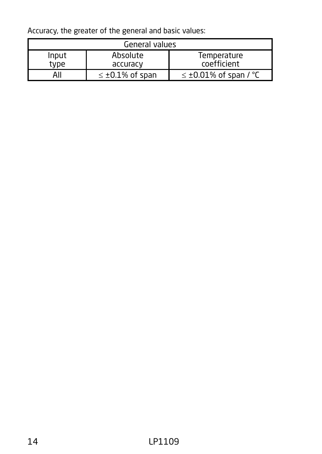Accuracy, the greater of the general and basic values:

| General values   |                          |                                |  |
|------------------|--------------------------|--------------------------------|--|
| Input            | Absolute                 | Temperature                    |  |
| type<br>accuracy |                          | coefficient                    |  |
| AII              | $\leq \pm 0.1\%$ of span | $\leq \pm 0.01\%$ of span / °C |  |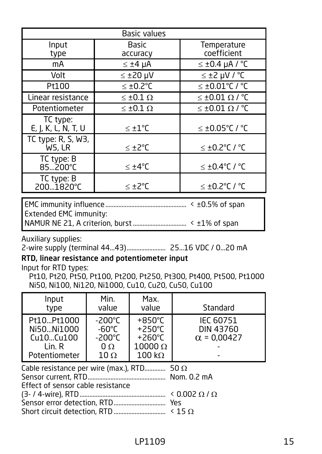| <b>Basic values</b>             |                          |                            |  |
|---------------------------------|--------------------------|----------------------------|--|
| Input<br>type                   | <b>Basic</b><br>accuracy | Temperature<br>coefficient |  |
| mA                              | $\leq \pm 4$ µA          | $≤ ±0.4$ µA / °C           |  |
| Volt                            | $≤ ±20$ µV               | $y^{\circ}$ / Vu S± $\ge$  |  |
| Pt100                           | $\leq \pm 0.2$ °C        | ≤ ±0.01°C / °C             |  |
| Linear resistance               | $\leq \pm 0.1 \Omega$    | ≤ ±0.01 Ω / °C             |  |
| Potentiometer                   | $\leq \pm 0.1 \Omega$    | ≤ ±0.01 Ω / °C             |  |
| TC type:<br>E, J, K, L, N, T, U | $\leq \pm 1$ °C          | ≤ ±0.05°C / °C             |  |
| TC type: R, S, W3,<br>W5, LR    | ≤ ±2°C                   | $\leq$ ±0.2°C / °C         |  |
| TC type: B<br>85200°C           | $< \pm 4^{\circ}C$       | $\leq$ ±0.4°C / °C         |  |
| TC type: B<br>200.1820°C        | ≤ ±2°C                   | $\leq$ ±0.2°C / °C         |  |
|                                 |                          |                            |  |

EMC immunity influence.................................................. < ±0.5% of span Extended EMC immunity: NAMUR NE 21, A criterion, burst................................. < ±1% of span

Auxiliary supplies:

2-wire supply (terminal 44...43)........................ 25...16 VDC / 0...20 mA

#### RTD, linear resistance and potentiometer input

Input for RTD types:

 Pt10, Pt20, Pt50, Pt100, Pt200, Pt250, Pt300, Pt400, Pt500, Pt1000 Ni50, Ni100, Ni120, Ni1000, Cu10, Cu20, Cu50, Cu100

| Input<br>type                                                                          | Min.<br>value                                                  | Max.<br>value                                                                               | Standard                                            |  |
|----------------------------------------------------------------------------------------|----------------------------------------------------------------|---------------------------------------------------------------------------------------------|-----------------------------------------------------|--|
| Pt10Pt1000<br>Ni50Ni1000<br>Cu10Cu100<br>Lin. R<br>Potentiometer                       | -200°C<br>$-60^{\circ}$ C<br>-200°C<br>$\Omega$<br>$10 \Omega$ | $+850^{\circ}$ C<br>$+250^{\circ}$ C<br>$+260^{\circ}$ C<br>$10000 \Omega$<br>$100 k\Omega$ | <b>IEC 60751</b><br>DIN 43760<br>$\alpha$ = 0.00427 |  |
| Cable resistance per wire (max.), RTD 50 $\Omega$<br>Effect of sensor cable resistance |                                                                |                                                                                             |                                                     |  |

(3- / 4-wire), RTD..................................................... < 0.002 Ω / Ω

Sensor error detection, RTD................................ Yes

Short circuit detection, RTD................................ < 15 Ω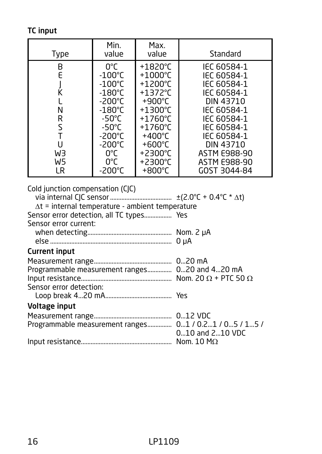TC input

| Type                                                                                                                                                             | Min.<br>value                                                                                                                                                                                                           | Max.<br>value                                                                                                                                                                                                                                                   | Standard                                                                                                                                                                                              |
|------------------------------------------------------------------------------------------------------------------------------------------------------------------|-------------------------------------------------------------------------------------------------------------------------------------------------------------------------------------------------------------------------|-----------------------------------------------------------------------------------------------------------------------------------------------------------------------------------------------------------------------------------------------------------------|-------------------------------------------------------------------------------------------------------------------------------------------------------------------------------------------------------|
| B<br>E<br>J<br>K<br>L<br>N<br>R<br>S<br>T<br>U<br>WЗ<br>W <sub>5</sub><br>LR                                                                                     | $0^{\circ}$ C<br>$-100^{\circ}$ C<br>$-100^{\circ}$ C<br>$-180^{\circ}$ C<br>$-200^{\circ}$ C<br>$-180^{\circ}$ C<br>$-50^{\circ}$ C<br>-50°C<br>$-200^{\circ}$ C<br>$-200^{\circ}$ C<br>0°C<br>0°C<br>$-200^{\circ}$ C | $+1820^{\circ}$ C<br>$+1000^{\circ}$ C<br>$+1200^{\circ}$ C<br>$+1372^{\circ}$ C<br>$+900^{\circ}$ C<br>$+1300^{\circ}$ C<br>$+1760^{\circ}$ C<br>+1760°C<br>$+400^{\circ}$ C<br>$+600^{\circ}$ C<br>$+2300^{\circ}$ C<br>$+2300^{\circ}$ C<br>$+800^{\circ}$ C | IEC 60584-1<br>IEC 60584-1<br>IEC 60584-1<br>IEC 60584-1<br>DIN 43710<br>IEC 60584-1<br>IEC 60584-1<br>IEC 60584-1<br>IEC 60584-1<br><b>DIN 43710</b><br>ASTM E988-90<br>ASTM E988-90<br>GOST 3044-84 |
| Cold junction compensation (CJC)<br>$\Delta t$ = internal temperature - ambient temperature<br>Sensor error detection, all TC types Yes<br>Sensor error current: |                                                                                                                                                                                                                         |                                                                                                                                                                                                                                                                 |                                                                                                                                                                                                       |
| <b>Current input</b>                                                                                                                                             |                                                                                                                                                                                                                         |                                                                                                                                                                                                                                                                 |                                                                                                                                                                                                       |
| Programmable measurement ranges 020 and 420 mA<br>Sensor error detection:                                                                                        |                                                                                                                                                                                                                         |                                                                                                                                                                                                                                                                 |                                                                                                                                                                                                       |
| <b>Voltage input</b>                                                                                                                                             |                                                                                                                                                                                                                         |                                                                                                                                                                                                                                                                 |                                                                                                                                                                                                       |
| Programmable measurement ranges 01 / 0.21 / 05 / 15 /                                                                                                            |                                                                                                                                                                                                                         |                                                                                                                                                                                                                                                                 | 010 and 210 VDC                                                                                                                                                                                       |
|                                                                                                                                                                  |                                                                                                                                                                                                                         |                                                                                                                                                                                                                                                                 |                                                                                                                                                                                                       |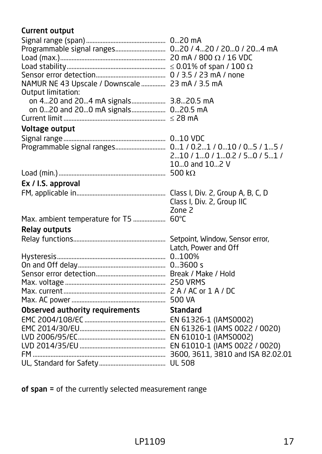### Current output

| NAMUR NE 43 Upscale / Downscale  23 mA / 3.5 mA<br>Output limitation:      |                                              |
|----------------------------------------------------------------------------|----------------------------------------------|
| on 420 and 204 mA signals 3.820.5 mA<br>on 020 and 200 mA signals 020.5 mA |                                              |
|                                                                            |                                              |
| Voltage output                                                             |                                              |
|                                                                            | 210 / 10 / 10.2 / 50 / 51 /<br>100 and 102 V |
|                                                                            |                                              |
| Ex / I.S. approval                                                         |                                              |
|                                                                            | Class I, Div. 2, Group IIC<br>Zone 2         |
| Max. ambient temperature for T5  60°C                                      |                                              |
| <b>Relay outputs</b>                                                       |                                              |
|                                                                            | Latch, Power and Off                         |
|                                                                            |                                              |
|                                                                            |                                              |
|                                                                            |                                              |
|                                                                            |                                              |
|                                                                            |                                              |
|                                                                            |                                              |
| <b>Observed authority requirements</b>                                     | <b>Standard</b>                              |
|                                                                            |                                              |
|                                                                            |                                              |
|                                                                            |                                              |
|                                                                            |                                              |
|                                                                            |                                              |

of span = of the currently selected measurement range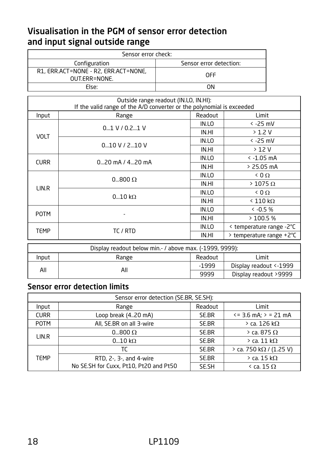### <span id="page-17-0"></span>Visualisation in the PGM of sensor error detection and input signal outside range

| Sensor error check:                                   |                         |  |
|-------------------------------------------------------|-------------------------|--|
| Configuration                                         | Sensor error detection: |  |
| R1, ERR.ACT=NONE - R2, ERR.ACT=NONE,<br>OUT.ERR=NONE. | OFF                     |  |
| Fise:                                                 | ωN                      |  |

| Outside range readout (IN.LO, IN.HI):<br>If the valid range of the A/D converter or the polynomial is exceeded |                    |         |                          |
|----------------------------------------------------------------------------------------------------------------|--------------------|---------|--------------------------|
| Input                                                                                                          | Range              | Readout | Limit                    |
|                                                                                                                | $0.1 V / 0.2$ 1 V  | IN.LO   | $<$ -25 mV               |
| <b>VOLT</b>                                                                                                    |                    | IN.HI   | $>1.2$ V                 |
|                                                                                                                | $0.10$ V / 2.10 V  | IN.LO   | $< -25$ mV               |
|                                                                                                                |                    | IN.HI   | >12V                     |
| <b>CURR</b>                                                                                                    | $0$ 20 mA / 420 mA | IN.LO   | $\le$ -1.05 mA           |
|                                                                                                                |                    | IN.HI   | > 25.05 mA               |
|                                                                                                                | $0800\Omega$       | IN.LO   | 0.0 <sub>2</sub>         |
| LIN.R                                                                                                          |                    | IN.HI   | $>$ 1075 $\Omega$        |
|                                                                                                                | $010$ kΩ           | IN.LO   | 0.0 <sub>2</sub>         |
|                                                                                                                |                    | IN.HI   | $< 110 \text{ k}\Omega$  |
| <b>POTM</b>                                                                                                    | ٠                  | IN.LO   | $& -0.5%$                |
|                                                                                                                |                    | IN.HI   | >100.5%                  |
|                                                                                                                | TC / RTD           | IN.LO   | < temperature range -2°C |
| TEMP                                                                                                           |                    | IN.HI   | > temperature range +2°C |

| Display readout below min. - / above max. (-1999, 9999): |       |         |                         |
|----------------------------------------------------------|-------|---------|-------------------------|
| Input                                                    | Range | Limit   |                         |
| All                                                      | All   | $-1999$ | Display readout <- 1999 |
|                                                          |       | 9999    | Display readout >9999   |

### Sensor error detection limits

| Sensor error detection (SE.BR, SE.SH): |                                        |         |                             |
|----------------------------------------|----------------------------------------|---------|-----------------------------|
| Input                                  | Range                                  | Readout | Limit                       |
| <b>CURR</b>                            | Loop break (420 mA)                    | SE.BR   | $\le$ = 3.6 mA: $>$ = 21 mA |
| <b>POTM</b>                            | All, SE.BR on all 3-wire               | SE.BR   | $>$ ca. 126 k $\Omega$      |
| LIN.R                                  | $0800\Omega$                           | SE.BR   | $>$ ca. 875 $\Omega$        |
|                                        | 010 kQ                                 | SE.BR   | $>$ ca. 11 k $\Omega$       |
|                                        | TC                                     | SE.BR   | > ca. 750 kΩ / (1.25 V)     |
| TEMP                                   | RTD, 2-, 3-, and 4-wire                | SE.BR   | $>$ ca. 15 k $\Omega$       |
|                                        | No SE.SH for Cuxx, Pt10, Pt20 and Pt50 | SE.SH   | $\le$ ca. 15 $\Omega$       |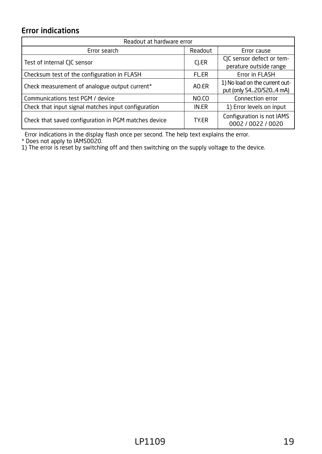### <span id="page-18-0"></span>Error indications

| Readout at hardware error                            |              |                                                           |  |  |  |
|------------------------------------------------------|--------------|-----------------------------------------------------------|--|--|--|
| Frror search                                         | Readout      | Frror cause                                               |  |  |  |
| Test of internal CJC sensor                          | CI.ER        | CIC sensor defect or tem-<br>perature outside range       |  |  |  |
| Checksum test of the configuration in FLASH          | <b>FL.ER</b> | Error in FLASH                                            |  |  |  |
| Check measurement of analogue output current*        | AO.FR        | 1) No load on the current out-<br>put (only S420/S204 mA) |  |  |  |
| Communications test PGM / device                     | NO.CO        | Connection error                                          |  |  |  |
| Check that input signal matches input configuration  | IN.ER        | 1) Error levels on input                                  |  |  |  |
| Check that saved configuration in PGM matches device | TY.FR        | Configuration is not IAMS<br>0002 / 0022 / 0020           |  |  |  |

Error indications in the display flash once per second. The help text explains the error. \* Does not apply to IAMS0020. 1) The error is reset by switching off and then switching on the supply voltage to the device.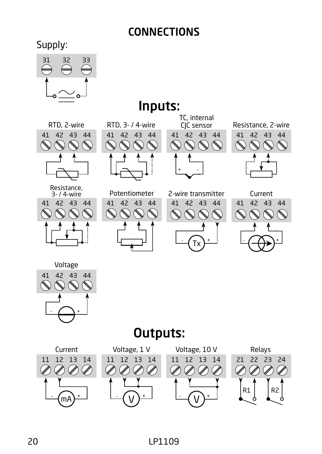# CONNECTIONS

<span id="page-19-0"></span>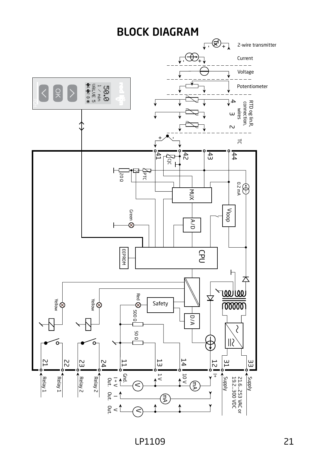<span id="page-20-0"></span>

LP1109 21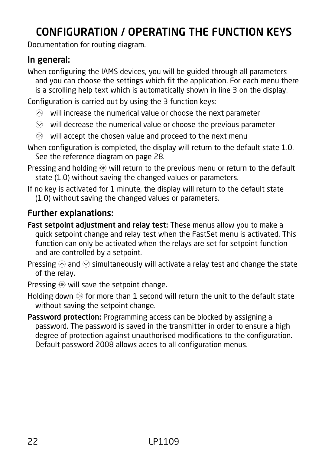# <span id="page-21-0"></span>CONFIGURATION / OPERATING THE FUNCTION KEYS

Documentation for routing diagram.

### In general:

When configuring the IAMS devices, you will be guided through all parameters and you can choose the settings which fit the application. For each menu there is a scrolling help text which is automatically shown in line 3 on the display.

Configuration is carried out by using the 3 function keys:

- $\odot$  will increase the numerical value or choose the next parameter
- $\odot$  will decrease the numerical value or choose the previous parameter
- $\circledR$  will accept the chosen value and proceed to the next menu
- When configuration is completed, the display will return to the default state 1.0. See the reference diagram on page 28.
- Pressing and holding  $\otimes$  will return to the previous menu or return to the default state (1.0) without saving the changed values or parameters.
- If no key is activated for 1 minute, the display will return to the default state (1.0) without saving the changed values or parameters.

### Further explanations:

- Fast setpoint adjustment and relay test: These menus allow you to make a quick setpoint change and relay test when the FastSet menu is activated. This function can only be activated when the relays are set for setpoint function and are controlled by a setpoint.
- Pressing  $\otimes$  and  $\otimes$  simultaneously will activate a relay test and change the state of the relay.
- Pressing  $\otimes$  will save the setpoint change.
- Holding down  $\otimes$  for more than 1 second will return the unit to the default state without saving the setpoint change.
- Password protection: Programming access can be blocked by assigning a password. The password is saved in the transmitter in order to ensure a high degree of protection against unauthorised modifications to the configuration. Default password 2008 allows acces to all configuration menus.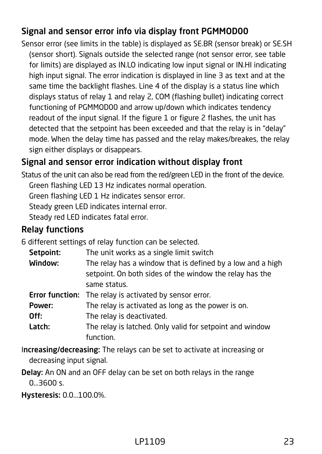# Signal and sensor error info via display front PGMMOD00

Sensor error (see limits in the table) is displayed as SE.BR (sensor break) or SE.SH (sensor short). Signals outside the selected range (not sensor error, see table for limits) are displayed as IN.LO indicating low input signal or IN.HI indicating high input signal. The error indication is displayed in line 3 as text and at the same time the backlight flashes. Line 4 of the display is a status line which displays status of relay 1 and relay 2, COM (flashing bullet) indicating correct functioning of PGMMOD00 and arrow up/down which indicates tendency readout of the input signal. If the figure 1 or figure 2 flashes, the unit has detected that the setpoint has been exceeded and that the relay is in "delay" mode. When the delay time has passed and the relay makes/breakes, the relay sign either displays or disappears.

# Signal and sensor error indication without display front

Status of the unit can also be read from the red/green LED in the front of the device.

Green flashing LED 13 Hz indicates normal operation.

Green flashing LED 1 Hz indicates sensor error.

Steady green LED indicates internal error.

Steady red LED indicates fatal error.

### Relay functions

6 different settings of relay function can be selected.

| Setpoint:              | The unit works as a single limit switch                    |  |  |
|------------------------|------------------------------------------------------------|--|--|
| Window:                | The relay has a window that is defined by a low and a high |  |  |
|                        | setpoint. On both sides of the window the relay has the    |  |  |
|                        | same status.                                               |  |  |
| <b>Error function:</b> | The relay is activated by sensor error.                    |  |  |
| Power:                 | The relay is activated as long as the power is on.         |  |  |
| Off:                   | The relay is deactivated.                                  |  |  |
| Latch:                 | The relay is latched. Only valid for setpoint and window   |  |  |
|                        | function.                                                  |  |  |

- Increasing/decreasing: The relays can be set to activate at increasing or decreasing input signal.
- Delay: An ON and an OFF delay can be set on both relays in the range 0...3600 s.
- Hysteresis: 0.0...100.0%.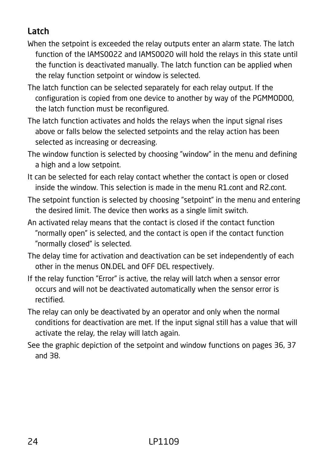# Latch

- When the setpoint is exceeded the relay outputs enter an alarm state. The latch function of the IAMS0022 and IAMS0020 will hold the relays in this state until the function is deactivated manually. The latch function can be applied when the relay function setpoint or window is selected.
- The latch function can be selected separately for each relay output. If the configuration is copied from one device to another by way of the PGMMOD00, the latch function must be reconfigured.
- The latch function activates and holds the relays when the input signal rises above or falls below the selected setpoints and the relay action has been selected as increasing or decreasing.
- The window function is selected by choosing "window" in the menu and defining a high and a low setpoint.
- It can be selected for each relay contact whether the contact is open or closed inside the window. This selection is made in the menu R1.cont and R2.cont.
- The setpoint function is selected by choosing "setpoint" in the menu and entering the desired limit. The device then works as a single limit switch.
- An activated relay means that the contact is closed if the contact function "normally open" is selected, and the contact is open if the contact function "normally closed" is selected.
- The delay time for activation and deactivation can be set independently of each other in the menus ON.DEL and OFF DEL respectively.
- If the relay function "Error" is active, the relay will latch when a sensor error occurs and will not be deactivated automatically when the sensor error is rectified.
- The relay can only be deactivated by an operator and only when the normal conditions for deactivation are met. If the input signal still has a value that will activate the relay, the relay will latch again.
- See the graphic depiction of the setpoint and window functions on pages 36, 37 and 38.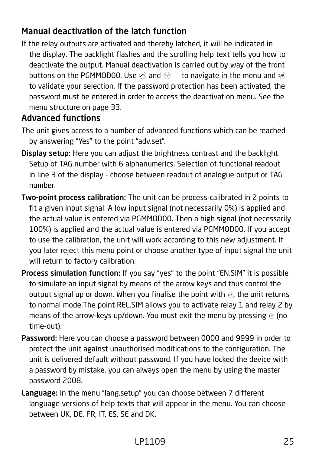### Manual deactivation of the latch function

If the relay outputs are activated and thereby latched, it will be indicated in the display. The backlight flashes and the scrolling help text tells you how to deactivate the output. Manual deactivation is carried out by way of the front buttons on the PGMMOD00. Use  $\widehat{\otimes}$  and  $\widehat{\otimes}$  to navigate in the menu and  $\widehat{\otimes}$ to validate your selection. If the password protection has been activated, the password must be entered in order to access the deactivation menu. See the menu structure on page 33.

### Advanced functions

- The unit gives access to a number of advanced functions which can be reached by answering "Yes" to the point "adv.set".
- Display setup: Here you can adjust the brightness contrast and the backlight. Setup of TAG number with 6 alphanumerics. Selection of functional readout in line 3 of the display - choose between readout of analogue output or TAG number.
- Two-point process calibration: The unit can be process-calibrated in 2 points to fit a given input signal. A low input signal (not necessarily 0%) is applied and the actual value is entered via PGMMOD00. Then a high signal (not necessarily 100%) is applied and the actual value is entered via PGMMOD00. If you accept to use the calibration, the unit will work according to this new adjustment. If you later reject this menu point or choose another type of input signal the unit will return to factory calibration.
- Process simulation function: If you say "yes" to the point "EN.SIM" it is possible to simulate an input signal by means of the arrow keys and thus control the output signal up or down. When you finalise the point with  $\otimes$ , the unit returns to normal mode.The point REL.SIM allows you to activate relay 1 and relay 2 by means of the arrow-keys up/down. You must exit the menu by pressing  $\otimes$  (no time-out).
- Password: Here you can choose a password between 0000 and 9999 in order to protect the unit against unauthorised modifications to the configuration. The unit is delivered default without password. If you have locked the device with a password by mistake, you can always open the menu by using the master password 2008.
- Language: In the menu "lang.setup" you can choose between 7 different language versions of help texts that will appear in the menu. You can choose between UK, DE, FR, IT, ES, SE and DK.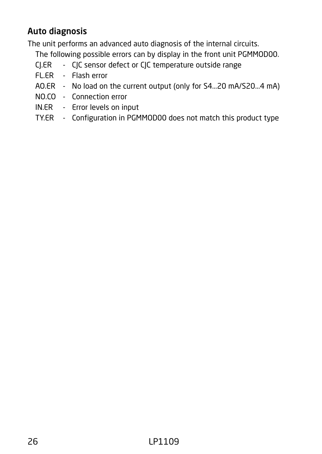# Auto diagnosis

The unit performs an advanced auto diagnosis of the internal circuits.

The following possible errors can by display in the front unit PGMMOD00.

- CJ.ER CJC sensor defect or CJC temperature outside range
- FL.ER Flash error
- AO.ER No load on the current output (only for S4...20 mA/S20...4 mA)
- NO.CO Connection error
- IN.ER Error levels on input
- TY.ER Configuration in PGMMOD00 does not match this product type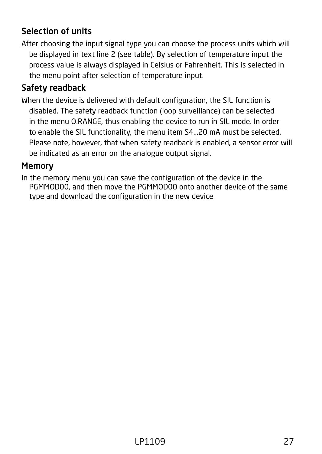### Selection of units

After choosing the input signal type you can choose the process units which will be displayed in text line 2 (see table). By selection of temperature input the process value is always displayed in Celsius or Fahrenheit. This is selected in the menu point after selection of temperature input.

### Safety readback

When the device is delivered with default configuration, the SIL function is disabled. The safety readback function (loop surveillance) can be selected in the menu O.RANGE, thus enabling the device to run in SIL mode. In order to enable the SIL functionality, the menu item S4...20 mA must be selected. Please note, however, that when safety readback is enabled, a sensor error will be indicated as an error on the analogue output signal.

#### Memory

In the memory menu you can save the configuration of the device in the PGMMOD00, and then move the PGMMOD00 onto another device of the same type and download the configuration in the new device.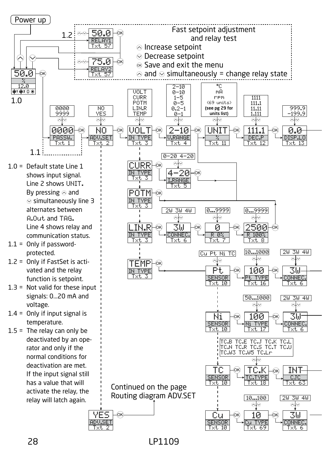

28 LP1109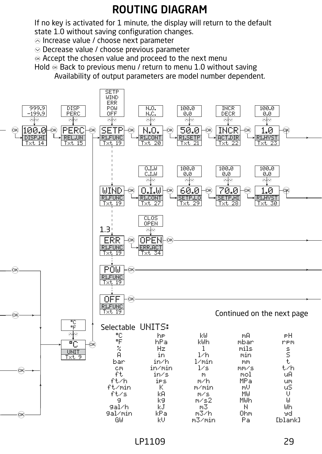# ROUTING DIAGRAM

<span id="page-28-0"></span>If no key is activated for 1 minute, the display will return to the default state 1.0 without saving configuration changes.

- $\otimes$  Increase value / choose next parameter
- $\odot$  Decrease value / choose previous parameter
- $\otimes$  Accept the chosen value and proceed to the next menu

Hold  $\otimes$  Back to previous menu / return to menu 1.0 without saving Availability of output parameters are model number dependent.



LP1109 29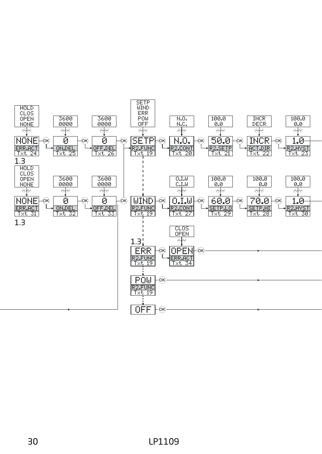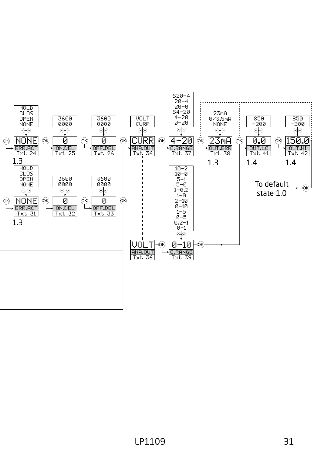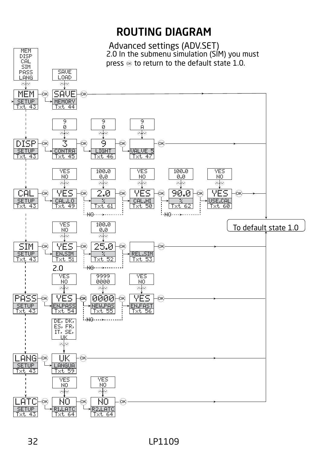<span id="page-31-0"></span>

32 LP1109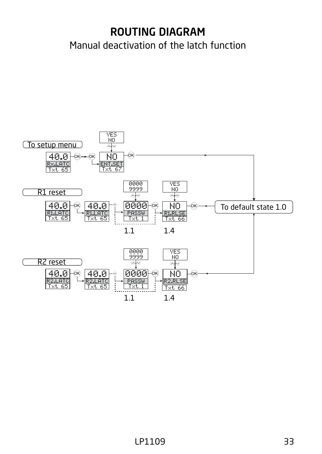# <span id="page-32-0"></span>ROUTING DIAGRAM Manual deactivation of the latch function

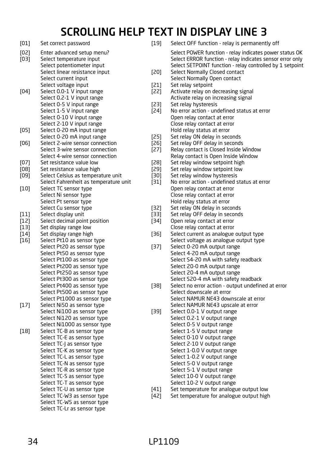# SCROLLING HELP TEXT IN DISPLAY LINE 3

<span id="page-33-0"></span>

| [01]         | Set correct password                                                                 | [19]         | Select OFF function - relay is permanently off                                                                                                                                    |
|--------------|--------------------------------------------------------------------------------------|--------------|-----------------------------------------------------------------------------------------------------------------------------------------------------------------------------------|
| [02]<br>[03] | Enter advanced setup menu?<br>Select temperature input<br>Select potentiometer input |              | Select POWER function - relay indicates power status OK<br>Select ERROR function - relay indicates sensor error only<br>Select SETPOINT function - relay controlled by 1 setpoint |
|              | Select linear resistance input<br>Select current input                               | $[20]$       | Select Normally Closed contact<br>Select Normally Open contact                                                                                                                    |
|              | Select voltage input                                                                 | $[21]$       | Set relay setpoint                                                                                                                                                                |
| $[04]$       | Select 0.0-1 V input range                                                           | $[22]$       | Activate relay on decreasing signal                                                                                                                                               |
|              | Select 0.2-1 V input range                                                           |              | Activate relay on increasing signal                                                                                                                                               |
|              | Select 0-5 V input range                                                             | [23]         | Set relay hysteresis                                                                                                                                                              |
|              | Select 1-5 V input range                                                             | $[24]$       | No error action - undefined status at error                                                                                                                                       |
|              | Select 0-10 V input range                                                            |              | Open relay contact at error                                                                                                                                                       |
|              | Select 2-10 V input range                                                            |              | Close relay contact at error                                                                                                                                                      |
| $[05]$       | Select 0-20 mA input range                                                           |              | Hold relay status at error                                                                                                                                                        |
|              | Select 0-20 mA input range                                                           | $[25]$       | Set relay ON delay in seconds                                                                                                                                                     |
| [06]         | Select 2-wire sensor connection                                                      | $[26]$       | Set relay OFF delay in seconds                                                                                                                                                    |
|              | Select 3-wire sensor connection                                                      | $[27]$       | Relay contact is Closed Inside Window                                                                                                                                             |
|              | Select 4-wire sensor connection                                                      |              | Relay contact is Open Inside Window                                                                                                                                               |
| [07]         | Set resistance value low                                                             | $[28]$       | Set relay window setpoint high                                                                                                                                                    |
| [08]         | Set resistance value high<br>Select Celsius as temperature unit                      | [29]         | Set relay window setpoint low<br>Set relay window hysteresis                                                                                                                      |
| $[09]$       | Select Fahrenheit as temperature unit                                                | [30]<br>[31] | No error action - undefined status at error                                                                                                                                       |
|              | Select TC sensor type                                                                |              | Open relay contact at error                                                                                                                                                       |
|              | Select Ni sensor type                                                                |              | Close relay contact at error                                                                                                                                                      |
|              | Select Pt sensor type                                                                |              | Hold relay status at error                                                                                                                                                        |
|              | Select Cu sensor type                                                                | [32]         | Set relay ON delay in seconds                                                                                                                                                     |
| $[11]$       | Select display unit                                                                  | [33]         | Set relay OFF delay in seconds                                                                                                                                                    |
| $[12]$       | Select decimal point position                                                        | [34]         | Open relay contact at error                                                                                                                                                       |
| [13]         | Set display range low                                                                |              | Close relay contact at error                                                                                                                                                      |
| $[14]$       | Set display range high                                                               | [36]         | Select current as analogue output type                                                                                                                                            |
| $[16]$       | Select Pt10 as sensor type                                                           |              | Select voltage as analogue output type                                                                                                                                            |
|              | Select Pt20 as sensor type                                                           | [37]         | Select 0-20 mA output range                                                                                                                                                       |
|              | Select Pt50 as sensor type                                                           |              | Select 4-20 mA output range                                                                                                                                                       |
|              | Select Pt100 as sensor type                                                          |              | Select S4-20 mA with safety readback                                                                                                                                              |
|              | Select Pt200 as sensor type                                                          |              | Select 20-0 mA output range                                                                                                                                                       |
|              | Select Pt250 as sensor type                                                          |              | Select 20-4 mA output range                                                                                                                                                       |
|              | Select Pt300 as sensor type                                                          |              | Select S20-4 mA with safety readback                                                                                                                                              |
|              | Select Pt400 as sensor type                                                          | [38]         | Select no error action - output undefined at error                                                                                                                                |
|              | Select Pt500 as sensor type                                                          |              | Select downscale at error                                                                                                                                                         |
|              | Select Pt1000 as sensor type                                                         |              | Select NAMUR NE43 downscale at error                                                                                                                                              |
| [17]         | Select Ni50 as sensor type                                                           |              | Select NAMUR NE43 upscale at error                                                                                                                                                |
|              | Select Ni100 as sensor type                                                          | [39]         | Select 0.0-1 V output range                                                                                                                                                       |
|              | Select Ni120 as sensor type                                                          |              | Select 0.2-1 V output range                                                                                                                                                       |
|              | Select Ni1000 as sensor type<br>Select TC-B as sensor type                           |              | Select 0-5 V output range<br>Select 1-5 V output range                                                                                                                            |
| $[18]$       | Select TC-E as sensor type                                                           |              | Select 0-10 V output range                                                                                                                                                        |
|              | Select TC-J as sensor type                                                           |              | Select 2-10 V output range                                                                                                                                                        |
|              | Select TC-K as sensor type                                                           |              | Select 1-0.0 V output range                                                                                                                                                       |
|              | Select TC-L as sensor type                                                           |              | Select 1-0.2 V output range                                                                                                                                                       |
|              | Select TC-N as sensor type                                                           |              | Select 5-0 V output range                                                                                                                                                         |
|              | Select TC-R as sensor type                                                           |              | Select 5-1 V output range                                                                                                                                                         |
|              | Select TC-S as sensor type                                                           |              | Select 10-0 V output range                                                                                                                                                        |
|              | Select TC-T as sensor type                                                           |              | Select 10-2 V output range                                                                                                                                                        |
|              | Select TC-U as sensor type                                                           | $[41]$       | Set temperature for analogue output low                                                                                                                                           |
|              | Select TC-W3 as sensor type                                                          | $[42]$       | Set temperature for analogue output high                                                                                                                                          |
|              | Select TC-W5 as sensor type                                                          |              |                                                                                                                                                                                   |
|              | Select TC-Lr as sensor type                                                          |              |                                                                                                                                                                                   |
|              |                                                                                      |              |                                                                                                                                                                                   |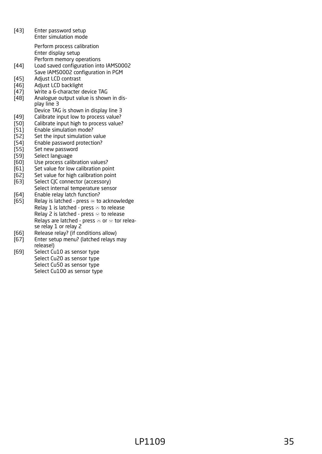- [43] Enter password setup Enter simulation mode Perform process calibration
	- Enter display setup Perform memory operations
- [44] Load saved configuration into IAMS0002 Save IAMS0002 configuration in PGM
- [45] Adjust LCD contrast
- [46] Adjust LCD backlight
- 
- [47] Write a 6-character device TAG<br>[48] Analogue output value is show Analogue output value is shown in display line 3
- Device TAG is shown in display line 3
- [49] Calibrate input low to process value?<br>[50] Calibrate input high to process value?
- [50] Calibrate input high to process value?<br>[51] Enable simulation mode?
- [51] Enable simulation mode?<br>[52] Set the input simulation
- [52] Set the input simulation value<br>[54] Enable password protection?
- Enable password protection?
- [55] Set new password<br>[59] Select language
- [59] Select language<br>[60] Use process cali
- Use process calibration values?
- [61] Set value for low calibration point
- [62] Set value for high calibration point
- [63] Select CJC connector (accessory) Select internal temperature sensor
- 
- [64] Enable relay latch function?<br>[65] Relay is latched press ⊛ to Relay is latched - press  $\otimes$  to acknowledge Relay 1 is latched - press  $\otimes$  to release Relay 2 is latched - press  $\otimes$  to release Relays are latched - press  $\otimes$  or  $\otimes$  tor release relay 1 or relay 2
- [66] Release relay? (if conditions allow)
- [67] Enter setup menu? (latched relays may release!)
- [69] Select Cu10 as sensor type Select Cu20 as sensor type Select Cu50 as sensor type Select Cu100 as sensor type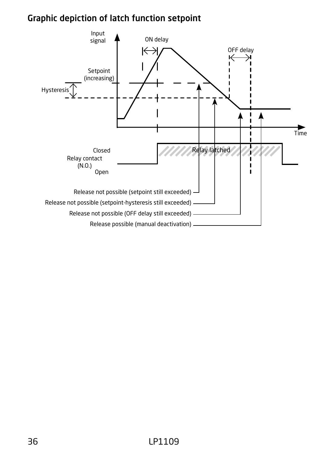### <span id="page-35-0"></span>Graphic depiction of latch function setpoint

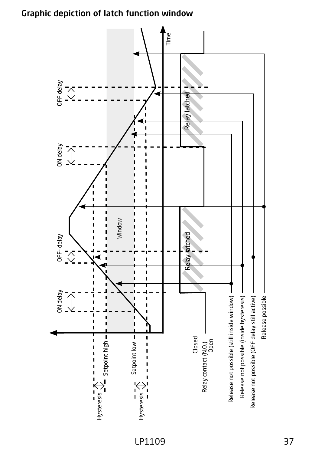### <span id="page-36-0"></span>Graphic depiction of latch function window



LP1109 37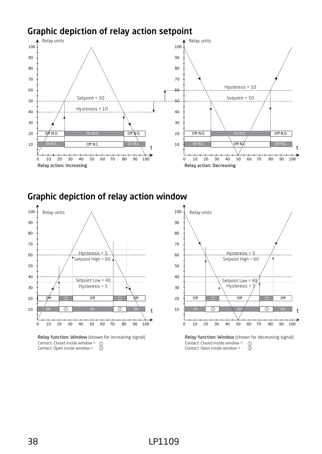### <span id="page-37-0"></span>Graphic depiction of relay action setpoint



#### Graphic depiction of relay action window



Relay function: Window (shown for increasing signal) Contact: Closed inside window = Contact: Open inside window = *1 2*

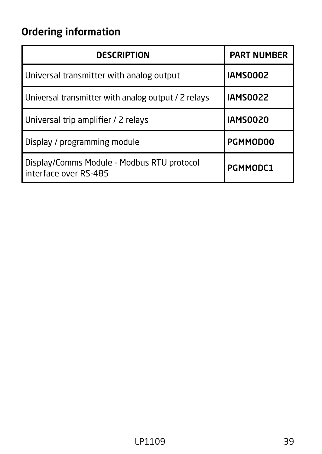# <span id="page-38-0"></span>Ordering information

| <b>DESCRIPTION</b>                                                    | <b>PART NUMBER</b> |
|-----------------------------------------------------------------------|--------------------|
| Universal transmitter with analog output                              | <b>IAMS0002</b>    |
| Universal transmitter with analog output / 2 relays                   | <b>IAMS0022</b>    |
| Universal trip amplifier / 2 relays                                   | <b>IAMS0020</b>    |
| Display / programming module                                          | PGMMOD00           |
| Display/Comms Module - Modbus RTU protocol<br>I interface over RS-485 | PGMMODC1           |